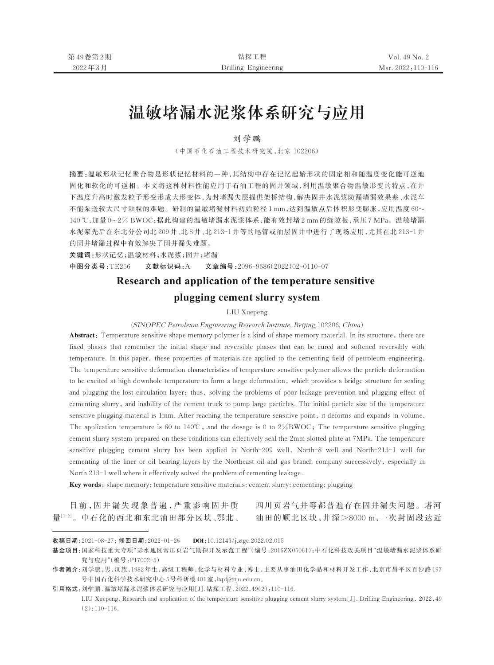# 温敏堵漏水泥浆体系研究与应用

# 刘学鹏

(中国石化石油工程技术研究院,北京 102206)

摘要:温敏形状记忆聚合物是形状记忆材料的一种,其结构中存在记忆起始形状的固定相和随温度变化能可逆地 固化和软化的可逆相。本文将这种材料性能应用于石油工程的固井领域,利用温敏聚合物温敏形变的特点,在井 下温度升高时激发粒子形变形成大形变体,为封堵漏失层提供架桥结构,解决固井水泥浆防漏堵漏效果差、水泥车 不能泵送较大尺寸颗粒的难题。研制的温敏堵漏材料初始粒径 1 mm,达到温敏点后体积形变膨胀,应用温度 60~ 140 ℃,加量 0~2% BWOC;据此构建的温敏堵漏水泥浆体系,能有效封堵 2 mm 的缝隙板,承压 7 MPa。温敏堵漏 水泥浆先后在东北分公司北 209 井、北 8 井、北 213-1 井等的尾管或油层固井中进行了现场应用,尤其在北 213-1 井 的固井堵漏过程中有效解决了固井漏失难题。

关键词:形状记忆;温敏材料;水泥浆;固井;堵漏

中图分类号:TE256 文献标识码:A 文章编号:2096-9686(2022)02-0110-07

# Research and application of the temperature sensitive

# plugging cement slurry system

LIU Xuepeng

(*SINOPEC Petroleum Engineering Research Institute, Beijing* 102206*, China*)

Abstract: Temperature sensitive shape memory polymer is a kind of shape memory material. In its structure, there are fixed phases that remember the initial shape and reversible phases that can be cured and softened reversibly with temperature. In this paper, these properties of materials are applied to the cementing field of petroleum engineering. The temperature sensitive deformation characteristics of temperature sensitive polymer allows the particle deformation to be excited at high downhole temperature to form a large deformation, which provides a bridge structure for sealing and plugging the lost circulation layer; thus, solving the problems of poor leakage prevention and plugging effect of cementing slurry, and inability of the cement truck to pump large particles. The initial particle size of the temperature sensitive plugging material is 1mm. After reaching the temperature sensitive point, it deforms and expands in volume. The application temperature is 60 to 140℃, and the dosage is 0 to 2%BWOC; The temperature sensitive plugging cement slurry system prepared on these conditions can effectively seal the 2mm slotted plate at 7MPa. The temperature sensitive plugging cement slurry has been applied in North-209 well, North-8 well and North-213-1 well for cementing of the liner or oil bearing layers by the Northeast oil and gas branch company successively, especially in North 213-1 well where it effectively solved the problem of cementing leakage.

Key words: shape memory; temperature sensitive materials; cement slurry; cementing; plugging

目 前 ,固 井 漏 失 现 象 普 遍 ,严 重 影 响 固 井 质

量[1-2]。中石化的西北和东北油田部分区块、鄂北、 油田的顺北区块,井深>8000 m,一次封固段达近 四川页岩气井等都普遍存在固井漏失问题。塔河

收稿日期:2021-08-27;修回日期:2022-01-26 DOI:10.12143/j.ztgc.2022.02.015

基金项目:国家科技重大专项"彭水地区常压页岩气勘探开发示范工程"(编号:2016ZX05061);中石化科技攻关项目"温敏堵漏水泥浆体系研 究与应用"(编号:P17002-5)

作者简介:刘学鹏,男,汉族,1982 年生,高级工程师,化学与材料专业,博士,主要从事油田化学品和材料开发工作,北京市昌平区百沙路 197 号中国石化科学技术研究中心 5 号科研楼 401 室,lxpfj@tju.edu.cn。

引用格式:刘学鹏 .温敏堵漏水泥浆体系研究与应用[J].钻探工程,2022,49(2):110-116.

LIU Xuepeng. Research and application of the temperature sensitive plugging cement slurry system[J]. Drilling Engineering, 2022,49  $(2):110-116.$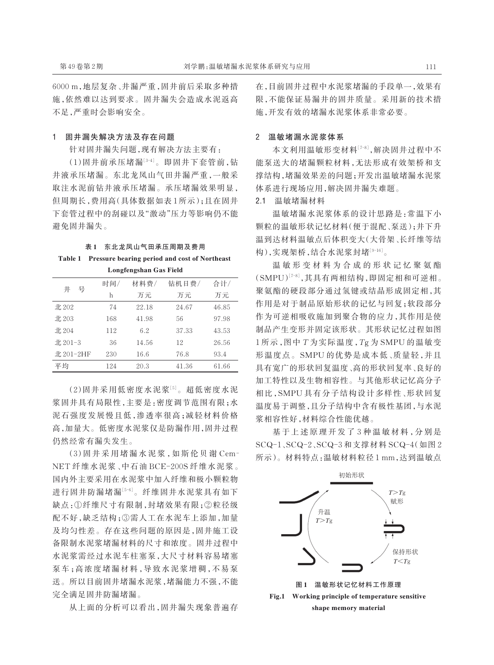## 1 固井漏失解决方法及存在问题

针对固井漏失问题,现有解决方法主要有:

(1)固井前承压堵漏[3-4]。即固井下套管前,钻 井液承压堵漏。东北龙凤山气田井漏严重,一般采 取注水泥前钻井液承压堵漏。承压堵漏效果明显, 但周期长,费用高(具体数据如表 1 所示);且在固井 下套管过程中的刮碰以及"激动"压力等影响仍不能 避免固井漏失。

## 表 1 东北龙凤山气田承压周期及费用 Table 1 Pressure bearing period and cost of Northeast Longfengshan Gas Field

|           |     | <b>Bongrengonan</b> oas Field |       |       |
|-----------|-----|-------------------------------|-------|-------|
| 号<br>井    | 时间/ | 材料费/                          | 钻机日费/ | 合计/   |
|           | h   | 万元                            | 万元    | 万元    |
| $\pm 202$ | 74  | 22.18                         | 24.67 | 46.85 |
| 北 203     | 168 | 41.98                         | 56    | 97.98 |
| 北 204     | 112 | 6.2                           | 37.33 | 43.53 |
| 北 201-3   | 36  | 14.56                         | 12    | 26.56 |
| 北 201-2HF | 230 | 16.6                          | 76.8  | 93.4  |
| 平均        | 124 | 20.3                          | 41.36 | 61.66 |

(2)固井采用低密度水泥浆[5]。超低密度水泥 浆固井具有局限性,主要是:密度调节范围有限;水 泥石强度发展慢且低,渗透率很高;减轻材料价格 高,加量大。低密度水泥浆仅是防漏作用,固井过程 仍然经常有漏失发生。

(3)固 井 采 用 堵 漏 水 泥 浆 ,如 斯 伦 贝 谢 Cem‑ NET 纤维水泥浆、中石油 BCE-200S 纤维水泥浆。 国内外主要采用在水泥浆中加入纤维和极小颗粒物 进行固井防漏堵漏[5-6] 。纤维固井水泥浆具有如下 缺点:①纤维尺寸有限制,封堵效果有限;②粒径级 配不好,缺乏结构;③需人工在水泥车上添加,加量 及均匀性差。存在这些问题的原因是,固井施工设 备限制水泥浆堵漏材料的尺寸和浓度。固井过程中 水泥浆需经过水泥车柱塞泵,大尺寸材料容易堵塞 泵车;高浓度堵漏材料,导致水泥浆增稠,不易泵 送。所以目前固井堵漏水泥浆,堵漏能力不强,不能 完全满足固井防漏堵漏。

从上面的分析可以看出,固井漏失现象普遍存

在,目前固井过程中水泥浆堵漏的手段单一,效果有 限,不能保证易漏井的固井质量。采用新的技术措 施,开发有效的堵漏水泥浆体系非常必要。

## 2 温敏堵漏水泥浆体系

本文利用温敏形变材料[7-8] ,解决固井过程中不 能泵送大的堵漏颗粒材料,无法形成有效架桥和支 撑结构,堵漏效果差的问题;开发出温敏堵漏水泥浆 体系进行现场应用,解决固井漏失难题。

2.1 温敏堵漏材料

温敏堵漏水泥浆体系的设计思路是:常温下小 颗粒的温敏形状记忆材料(便于混配、泵送);井下升 温到达材料温敏点后体积变大(大骨架、长纤维等结 构),实现架桥,结合水泥浆封堵[9-16] 。

温 敏 形 变 材 料 为 合 成 的 形 状 记 忆 聚 氨 酯 (SMPU)<sup>[7-8]</sup>,其具有两相结构,即固定相和可逆相。 聚氨酯的硬段部分通过氢键或结晶形成固定相,其 作用是对于制品原始形状的记忆与回复;软段部分 作为可逆相吸收施加到聚合物的应力,其作用是使 制品产生变形并固定该形状。其形状记忆过程如图 1 所示,图中 *T* 为实际温度,*T*g 为 SMPU 的温敏变 形温度点。SMPU 的优势是成本低、质量轻,并且 具有宽广的形状回复温度、高的形状回复率、良好的 加工特性以及生物相容性。与其他形状记忆高分子 相比,SMPU 具有分子结构设计多样性、形状回复 温度易于调整,且分子结构中含有极性基团,与水泥 浆相容性好,材料综合性能优越。

基于上述原理开发了3种温敏材料,分别是 SCQ-1、SCQ-2、SCQ-3 和支撑材料 SCQ-4(如图 2 所示)。材料特点:温敏材料粒径 1 mm,达到温敏点

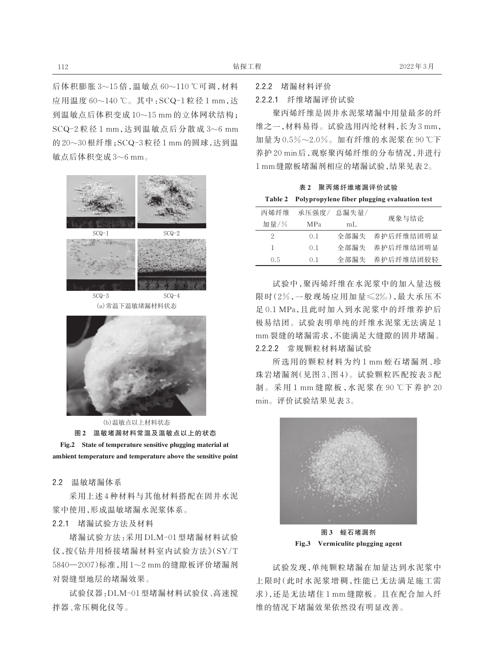后体积膨胀 3~15 倍,温敏点 60~110 ℃可调,材料 应用温度 60~140 ℃。其中:SCQ-1 粒径 1 mm,达 到温敏点后体积变成 10~15 mm 的立体网状结构; SCQ-2 粒径 1 mm,达到温敏点后分散成 3~6 mm 的 20~30 根纤维;SCQ-3 粒径 1 mm 的圆球,达到温 敏点后体积变成 3~6 mm。



(a) 常温下温敏堵漏材料状态



(b) 温敏点以上材料状态 图 2 温敏堵漏材料常温及温敏点以上的状态 Fig.2 State of temperature sensitive plugging material at ambient temperature and temperature above the sensitive point

2.2 温敏堵漏体系

采用上述 4 种材料与其他材料搭配在固井水泥 浆中使用,形成温敏堵漏水泥浆体系。

# 2.2.1 堵漏试验方法及材料

堵漏试验方法:采用 DLM-01 型堵漏材料试验 仪,按《钻井用桥接堵漏材料室内试验方法》(SY/T 5840—2007)标准,用 1~2 mm 的缝隙板评价堵漏剂 对裂缝型地层的堵漏效果。

试验仪器:DLM-01 型堵漏材料试验仪、高速搅 拌器、常压稠化仪等。

2.2.2 堵漏材料评价

2.2.2.1 纤维堵漏评价试验

聚丙烯纤维是固井水泥浆堵漏中用量最多的纤 维之一,材料易得。试验选用丙纶材料,长为 3 mm, 加量为 0.5%~2.0%。加有纤维的水泥浆在 90 ℃下 养护 20 min 后,观察聚丙烯纤维的分布情况,并进行 1 mm 缝隙板堵漏剂相应的堵漏试验,结果见表 2。

表 2 聚丙烯纤维堵漏评价试验

|  |  |  | Table 2 Polypropylene fiber plugging evaluation test |
|--|--|--|------------------------------------------------------|
|--|--|--|------------------------------------------------------|

| 丙烯纤维 | 承压强度/           | 总漏失量/ | 现象与结论     |
|------|-----------------|-------|-----------|
| 加量/% | MP <sub>a</sub> | mL    |           |
| 2    | $()$ 1          | 全部漏失  | 养护后纤维结团明显 |
| ı    | $()$ 1          | 全部漏失  | 养护后纤维结团明显 |
| 0.5  | $()$ 1          | 全部漏失  | 养护后纤维结团较轻 |

试验中,聚丙烯纤维在水泥浆中的加入量达极 限时(2%,一般现场应用加量≤2‰),最大承压不 足 0.1 MPa, 且此时加入到水泥浆中的纤维养护后 极易结团。试验表明单纯的纤维水泥浆无法满足1 mm 裂缝的堵漏需求,不能满足大缝隙的固井堵漏。 2.2.2.2 常规颗粒材料堵漏试验

所选用的颗粒材料为约 1 mm 蛭石堵漏剂、珍 珠岩堵漏剂(见图 3、图 4)。试验颗粒匹配按表 3 配 制 。 采 用 1 mm 缝 隙 板 ,水 泥 浆 在 90 ℃下 养 护 20 min。评价试验结果见表 3。



图 3 蛭石堵漏剂 Fig.3 Vermiculite plugging agent

试验发现,单纯颗粒堵漏在加量达到水泥浆中 上限时(此时水泥浆增稠,性能已无法满足施工需 求),还是无法堵住 1 mm 缝隙板。且在配合加入纤 维的情况下堵漏效果依然没有明显改善。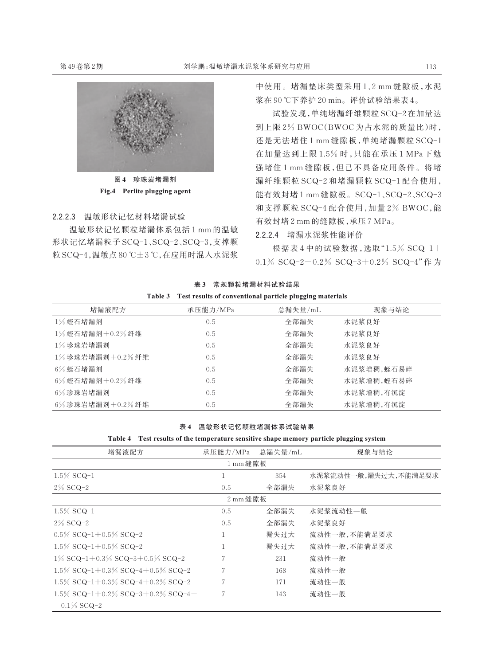

图 4 珍珠岩堵漏剂 Fig.4 Perlite plugging agent

## 2.2.2.3 温敏形状记忆材料堵漏试验

温敏形状记忆颗粒堵漏体系包括 1 mm 的温敏 形状记忆堵漏粒子 SCQ-1、SCQ-2、SCQ-3,支撑颗 粒 SCQ-4,温敏点 80 ℃±3 ℃,在应用时混入水泥浆 中使用。堵漏垫床类型采用 1、2 mm 缝隙板,水泥 浆在 90 ℃下养护 20 min。评价试验结果表 4。

试验发现,单纯堵漏纤维颗粒 SCQ-2 在加量达 到上限 2% BWOC(BWOC 为占水泥的质量比)时, 还是无法堵住 1 mm 缝隙板,单纯堵漏颗粒 SCQ-1 在加量达到上限 1.5% 时,只能在承压 1 MPa 下勉 强堵住 1 mm 缝隙板,但已不具备应用条件。将堵 漏纤维颗粒 SCQ-2 和堵漏颗粒 SCQ-1 配合使用, 能有效封堵 1 mm 缝隙板。SCQ-1、SCQ-2、SCQ-3 和支撑颗粒 SCQ-4 配合使用,加量 2% BWOC,能 有效封堵 2 mm 的缝隙板,承压 7 MPa。

2.2.2.4 堵漏水泥浆性能评价

根据表 4 中的试验数据,选取"1.5% SCQ-1+ 0.1% SCQ-2+0.2% SCQ-3+0.2% SCQ-4"作 为

|         | 表3 常规颗粒堵漏材料试验结果                                          |
|---------|----------------------------------------------------------|
| Table 3 | Test results of conventional particle plugging materials |

| 堵漏液配方           | 承压能力/MPa | 总漏失量/mL | 现象与结论      |
|-----------------|----------|---------|------------|
| 1%蛭石堵漏剂         | 0.5      | 全部漏失    | 水泥浆良好      |
| 1%蛭石堵漏剂+0.2%纤维  | 0.5      | 全部漏失    | 水泥浆良好      |
| 1%珍珠岩堵漏剂        | 0.5      | 全部漏失    | 水泥浆良好      |
| 1%珍珠岩堵漏剂+0.2%纤维 | 0.5      | 全部漏失    | 水泥浆良好      |
| 6%蛭石堵漏剂         | 0.5      | 全部漏失    | 水泥浆增稠,蛭石易碎 |
| 6%蛭石堵漏剂+0.2%纤维  | 0.5      | 全部漏失    | 水泥浆增稠,蛭石易碎 |
| 6%珍珠岩堵漏剂        | 0.5      | 全部漏失    | 水泥浆增稠,有沉淀  |
| 6%珍珠岩堵漏剂+0.2%纤维 | 0.5      | 全部漏失    | 水泥浆增稠,有沉淀  |

#### 表 4 温敏形状记忆颗粒堵漏体系试验结果

|  |  | Table 4 Test results of the temperature sensitive shape memory particle plugging system |  |  |  |  |
|--|--|-----------------------------------------------------------------------------------------|--|--|--|--|
|--|--|-----------------------------------------------------------------------------------------|--|--|--|--|

| 堵漏液配方                                     | 承压能力/MPa           | 总漏失量/mL | 现象与结论                |
|-------------------------------------------|--------------------|---------|----------------------|
|                                           | 1 mm 缝隙板           |         |                      |
| $1.5\%$ SCQ-1                             |                    | 354     | 水泥浆流动性一般,漏失过大,不能满足要求 |
| $2\%$ SCQ-2                               | 0.5                | 全部漏失    | 水泥浆良好                |
|                                           | $2 \text{ mm}$ 缝隙板 |         |                      |
| $1.5\%$ SCQ-1                             | 0.5                | 全部漏失    | 水泥浆流动性一般             |
| $2\%$ SCQ-2                               | 0.5                | 全部漏失    | 水泥浆良好                |
| $0.5\%$ SCQ-1+0.5% SCQ-2                  |                    | 漏失过大    | 流动性一般,不能满足要求         |
| $1.5\%$ SCQ-1+0.5% SCQ-2                  |                    | 漏失讨大    | 流动性一般,不能满足要求         |
| $1\%$ SCQ-1+0.3% SCQ-3+0.5% SCQ-2         | 7                  | 231     | 流动性一般                |
| 1.5% $SCQ-1+0.3\%$ $SCQ-4+0.5\%$ $SCQ-2$  |                    | 168     | 流动性一般                |
| $1.5\%$ SCQ-1+0.3% SCQ-4+0.2% SCQ-2       |                    | 171     | 流动性一般                |
| 1.5% $SCQ-1+0.2\%$ $SCQ-3+0.2\%$ $SCQ-4+$ | 7                  | 143     | 流动性一般                |
| $0.1\%$ SCQ-2                             |                    |         |                      |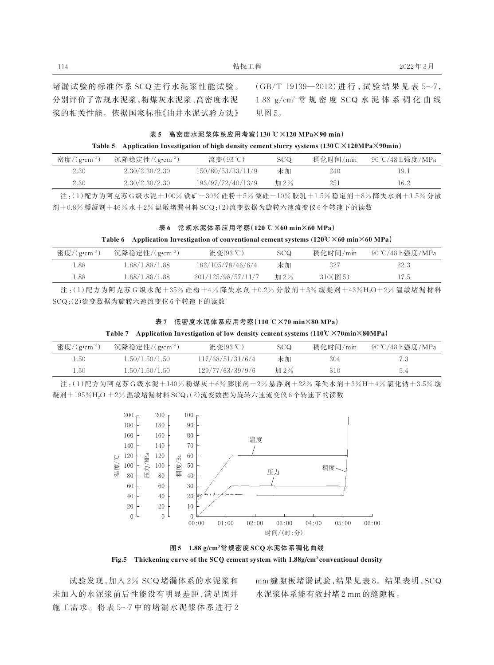堵漏试验的标准体系 SCQ 进行水泥浆性能试验。 分别评价了常规水泥浆,粉煤灰水泥浆、高密度水泥 浆的相关性能。依据国家标准《油井水泥试验方法》 (GB/T 19139—2012)进 行 ,试 验 结 果 见 表 5~7, 1.88 g/cm<sup>3</sup> 常 规 密 度 SCQ 水 泥 体 系 稠 化 曲 线 见图 5。

|  | 表 5 高密度水泥浆体系应用考察(130℃×120MPa×90min)                                                                                                        |  |  |
|--|--------------------------------------------------------------------------------------------------------------------------------------------|--|--|
|  | Table 5 Application Investigation of high density cement slurry systems $(130^{\circ}\text{C} \times 120 \text{MPa} \times 90 \text{min})$ |  |  |

| 密度/ $(g \cdot cm^{-3})$ | 沉降稳定性/ $(g$ • $cm^{-3})$ | 流变(93℃)           | <b>SCQ</b> | 稠化时间/min | 90 ℃/48 h 强度 /MPa |
|-------------------------|--------------------------|-------------------|------------|----------|-------------------|
| 2.30                    | 2.30/2.30/2.30           | 150/80/53/33/11/9 | 未加         | 240      | 19.1              |
| 2.30                    | 2.30/2.30/2.30           | 193/97/72/40/13/9 | 加 2%       | 251      | 16.2              |

注:(1)配方为阿克苏 G 级水泥+100% 铁矿+30% 硅粉+5% 微硅+10% 胶乳+1.5% 稳定剂+8% 降失水剂+1.5% 分散 剂+0.8% 缓凝剂+46% 水+2% 温敏堵漏材料 SCQ;(2)流变数据为旋转六速流变仪 6 个转速下的读数

#### 表 6 常规水泥体系应用考察(120 ℃×60 min×60 MPa)

#### Table 6 Application Investigation of conventional cement systems  $(120\degree C \times 60 \text{ min} \times 60 \text{ MPa})$

| 密度/ $(g$ • $cm^{-3})$ | 沉降稳定性/ $(g$ • $cm^{-3})$ | 流变(93℃)            | SCQ  | 稠化时间/min   | 90 ℃/48 h 强度 /MPa |
|-----------------------|--------------------------|--------------------|------|------------|-------------------|
| 1.88                  | 1.88/1.88/1.88           | 182/105/78/46/6/4  | 未加   | 327        | 22.3              |
| 1.88                  | 1.88/1.88/1.88           | 201/125/98/57/11/7 | 加 2% | $310$ (图5) | 17.5              |

注:(1)配方为阿克苏 G 级水泥+35% 硅粉+4% 降失水剂+0.2% 分散剂+3% 缓凝剂+43%H<sub>2</sub>O+2% 温敏堵漏材料 SCQ;(2)流变数据为旋转六速流变仪 6 个转速下的读数

表 7 低密度水泥体系应用考察(110 ℃×70 min×80 MPa)

Table 7 Application Investigation of low density cement systems (110℃×70min×80MPa)

| 密度/ $(g$ •cm <sup>-3</sup> ) | 沉降稳定性/ $(g$ • $cm^{-3})$ | 流变(93℃)          | SCQ. | 稠化时间/min | 90 ℃/48 h强度/MPa |
|------------------------------|--------------------------|------------------|------|----------|-----------------|
| 1.50                         | 1.50/1.50/1.50           | 117/68/51/31/6/4 | 未加   | 304      |                 |
| 1.50                         | 1.50/1.50/1.50           | 129/77/63/39/9/6 | 加 2% | 310      | 5.4             |

注:(1)配方为阿克苏 G 级水泥+140% 粉煤灰+6% 膨胀剂+2% 悬浮剂+22% 降失水剂+3%H+4% 氯化钠+3.5% 缓 凝剂+195%H2O +2% 温敏堵漏材料 SCQ;(2)流变数据为旋转六速流变仪 6个转速下的读数



图 5 1.88 g/cm<sup>3</sup> 常规密度 SCQ 水泥体系稠化曲线

Fig.5 Thickening curve of the SCQ cement system with 1.88g/cm<sup>3</sup> conventional density

试验发现,加入 2% SCQ 堵漏体系的水泥浆和 未加入的水泥浆前后性能没有明显差距,满足固井 施工需求。将表 5~7 中的堵漏水泥浆体系进行 2 mm 缝隙板堵漏试验,结果见表 8。结果表明,SCQ 水泥浆体系能有效封堵 2 mm 的缝隙板。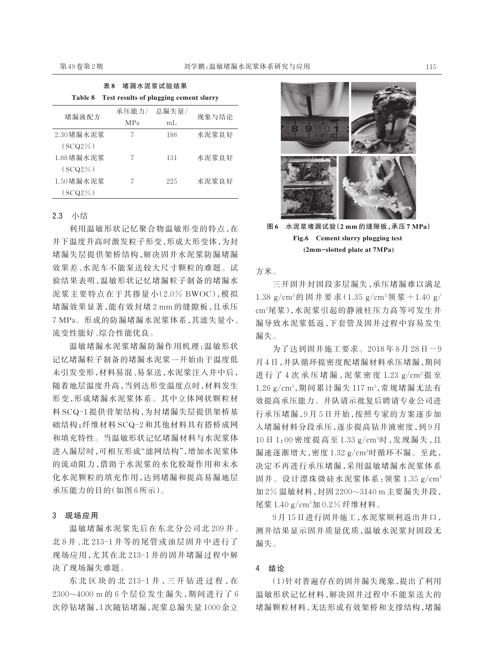| Test results of plugging cement slurry<br>Table 8 |                  |       |       |  |  |  |
|---------------------------------------------------|------------------|-------|-------|--|--|--|
| 堵漏液配方                                             | 承压能力/            | 总漏失量/ | 现象与结论 |  |  |  |
|                                                   | <b>MPa</b><br>mL |       |       |  |  |  |
| 2.30堵漏水泥浆                                         | 7                | 186   | 水泥浆良好 |  |  |  |
| $(SCO2\%)$                                        |                  |       |       |  |  |  |
| 1.88堵漏水泥浆                                         | 7                | 131   | 水泥浆良好 |  |  |  |
| $(SCO2\%)$                                        |                  |       |       |  |  |  |
| 1.50 堵漏水泥浆                                        | 7                | 225   | 水泥浆良好 |  |  |  |
| $(SCO2\%)$                                        |                  |       |       |  |  |  |

主 9 接混水泥浆建设体理

#### 2.3 小结

利用温敏形状记忆聚合物温敏形变的特点,在 井下温度升高时激发粒子形变,形成大形变体,为封 堵漏失层提供架桥结构,解决固井水泥浆防漏堵漏 效果差、水泥车不能泵送较大尺寸颗粒的难题。试 验结果表明,温敏形状记忆堵漏粒子制备的堵漏水 泥浆主要特点在于其掺量小(2.0% BWOC),模拟 堵漏效果显著,能有效封堵 2 mm 的缝隙板,且承压 7 MPa。形成的防漏堵漏水泥浆体系,其滤失量小、 流变性能好、综合性能优良。

温敏堵漏水泥浆堵漏防漏作用机理:温敏形状 记忆堵漏粒子制备的堵漏水泥浆一开始由于温度低 未引发变形,材料易混、易泵送,水泥浆注入井中后, 随着地层温度升高,当到达形变温度点时,材料发生 形变,形成堵漏水泥浆体系。其中立体网状颗粒材 料 SCQ-1 提供骨架结构,为封堵漏失层提供架桥基 础结构;纤维材料 SCQ-2 和其他材料具有搭桥成网 和填充特性。当温敏形状记忆堵漏材料与水泥浆体 进入漏层时,可相互形成"滤网结构",增加水泥浆体 的流动阻力,借助于水泥浆的水化胶凝作用和未水 化水泥颗粒的填充作用,达到堵漏和提高易漏地层 承压能力的目的(如图 6 所示)。

#### 3 现场应用

温敏堵漏水泥浆先后在东北分公司北 209 井、 北 8 井、北 213-1 井等的尾管或油层固井中进行了 现场应用,尤其在北 213-1 井的固井堵漏过程中解 决了现场漏失难题。

东北区块的北 213-1井,三开钻进过程,在 2300~4000 m 的 6 个层位发生漏失,期间进行了 6 次停钻堵漏,1 次随钻堵漏,泥浆总漏失量 1000 余立



图 6 水泥浆堵漏试验(2 mm 的缝隙板,承压 7 MPa) Fig.6 Cement slurry plugging test (2mm-slotted plate at 7MPa)

方米。

三开固井封固段多层漏失,承压堵漏难以满足 1.38 g/cm<sup>3</sup>的固井要求(1.35 g/cm<sup>3</sup>领浆+1.40 g/ cm³尾浆),水泥浆引起的静液柱压力高等可发生井 漏导致水泥浆低返,下套管及固井过程中容易发生 漏失。

为了达到固井施工要求。2018 年 8 月 28 日-9 月 4 日,井队循环提密度配堵漏材料承压堵漏,期间 进行了 4 次 承 压 堵 漏, 泥 浆 密 度 1.23 g/cm<sup>3</sup>提 至  $1.26 \text{ g/cm}^3$ ,期间累计漏失  $117 \text{ m}^3$ ,常规堵漏无法有 效提高承压能力。井队请示批复后聘请专业公司进 行承压堵漏,9 月 5 日开始,按照专家的方案逐步加 入堵漏材料分段承压,逐步提高钻井液密度,到 9 月 10 日 1:00 密度提高至 1.33 g/cm³时,发现漏失,且 漏速逐渐增大,密度1.32 g/cm<sup>3</sup>时循环不漏。至此, 决定不再进行承压堵漏,采用温敏堵漏水泥浆体系 固井。设计漂珠微硅水泥浆体系:领浆 1.35 g/cm<sup>3</sup> 加 2% 温敏材料,封固 2200~3140 m 主要漏失井段, 尾浆 1.40 g/cm<sup>3</sup> 加 0.2% 纤维材料。

9 月 15 日进行固井施工,水泥浆顺利返出井口, 测井结果显示固井质量优质,温敏水泥浆封固段无 漏失。

#### 4 结论

(1)针对普遍存在的固井漏失现象,提出了利用 温敏形状记忆材料,解决固井过程中不能泵送大的 堵漏颗粒材料,无法形成有效架桥和支撑结构,堵漏